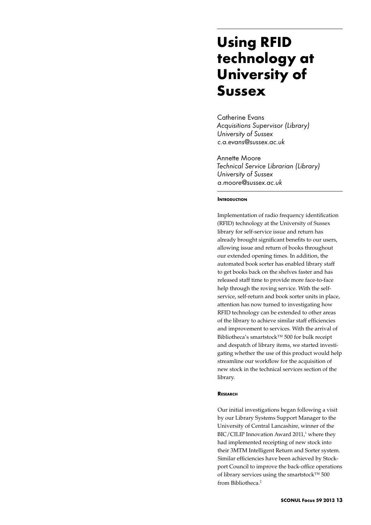# **Using RFID technology at University of Sussex**

Catherine Evans *Acquisitions Supervisor (Library) University of Sussex c.a.evans@sussex.ac.uk*

Annette Moore *Technical Service Librarian (Library) University of Sussex a.moore@sussex.ac.uk*

#### **INTRODUCTION**

Implementation of radio frequency identification (RFID) technology at the University of Sussex library for self-service issue and return has already brought significant benefits to our users, allowing issue and return of books throughout our extended opening times. In addition, the automated book sorter has enabled library staff to get books back on the shelves faster and has released staff time to provide more face-to-face help through the roving service. With the selfservice, self-return and book sorter units in place, attention has now turned to investigating how RFID technology can be extended to other areas of the library to achieve similar staff efficiencies and improvement to services. With the arrival of Bibliotheca's smartstock™ 500 for bulk receipt and despatch of library items, we started investigating whether the use of this product would help streamline our workflow for the acquisition of new stock in the technical services section of the library.

## **Research**

Our initial investigations began following a visit by our Library Systems Support Manager to the University of Central Lancashire, winner of the  $BIC/CILIP$  Innovation Award 2011,<sup>1</sup> where they had implemented receipting of new stock into their 3MTM Intelligent Return and Sorter system. Similar efficiencies have been achieved by Stockport Council to improve the back-office operations of library services using the smartstock™ 500 from Bibliotheca.2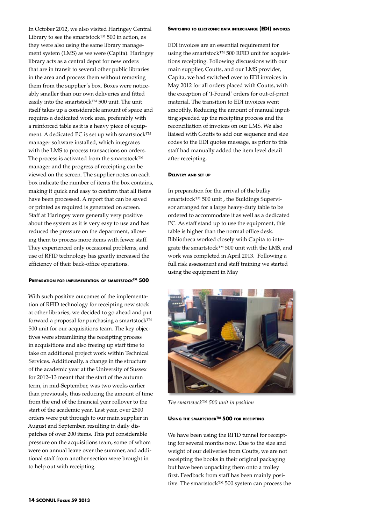In October 2012, we also visited Haringey Central Library to see the smartstock™ 500 in action, as they were also using the same library management system (LMS) as we were (Capita). Haringey library acts as a central depot for new orders that are in transit to several other public libraries in the area and process them without removing them from the supplier's box. Boxes were noticeably smaller than our own deliveries and fitted easily into the smartstock™ 500 unit. The unit itself takes up a considerable amount of space and requires a dedicated work area, preferably with a reinforced table as it is a heavy piece of equipment. A dedicated PC is set up with smartstock™ manager software installed, which integrates with the LMS to process transactions on orders. The process is activated from the smartstock™ manager and the progress of receipting can be viewed on the screen. The supplier notes on each box indicate the number of items the box contains, making it quick and easy to confirm that all items have been processed. A report that can be saved or printed as required is generated on screen. Staff at Haringey were generally very positive about the system as it is very easy to use and has reduced the pressure on the department, allowing them to process more items with fewer staff. They experienced only occasional problems, and use of RFID technology has greatly increased the efficiency of their back-office operations.

#### **Preparation for implementation of smartstock™ 500**

With such positive outcomes of the implementation of RFID technology for receipting new stock at other libraries, we decided to go ahead and put forward a proposal for purchasing a smartstock™ 500 unit for our acquisitions team. The key objectives were streamlining the receipting process in acquisitions and also freeing up staff time to take on additional project work within Technical Services. Additionally, a change in the structure of the academic year at the University of Sussex for 2012–13 meant that the start of the autumn term, in mid-September, was two weeks earlier than previously, thus reducing the amount of time from the end of the financial year rollover to the start of the academic year. Last year, over 2500 orders were put through to our main supplier in August and September, resulting in daily dispatches of over 200 items. This put considerable pressure on the acquisitions team, some of whom were on annual leave over the summer, and additional staff from another section were brought in to help out with receipting.

#### **Switching to electronic data interchange (EDI) invoices**

EDI invoices are an essential requirement for using the smartstock™ 500 RFID unit for acquisitions receipting. Following discussions with our main supplier, Coutts, and our LMS provider, Capita, we had switched over to EDI invoices in May 2012 for all orders placed with Coutts, with the exception of 'I-Found' orders for out-of-print material. The transition to EDI invoices went smoothly. Reducing the amount of manual inputting speeded up the receipting process and the reconciliation of invoices on our LMS. We also liaised with Coutts to add our sequence and size codes to the EDI quotes message, as prior to this staff had manually added the item level detail after receipting.

#### **Delivery and set up**

In preparation for the arrival of the bulky smartstock™ 500 unit, the Buildings Supervisor arranged for a large heavy-duty table to be ordered to accommodate it as well as a dedicated PC. As staff stand up to use the equipment, this table is higher than the normal office desk. Bibliotheca worked closely with Capita to integrate the smartstock™ 500 unit with the LMS, and work was completed in April 2013. Following a full risk assessment and staff training we started using the equipment in May



*The smartstock™ 500 unit in position*

### **Using the smartstock™ 500 for receipting**

We have been using the RFID tunnel for receipting for several months now. Due to the size and weight of our deliveries from Coutts, we are not receipting the books in their original packaging but have been unpacking them onto a trolley first. Feedback from staff has been mainly positive. The smartstock™ 500 system can process the